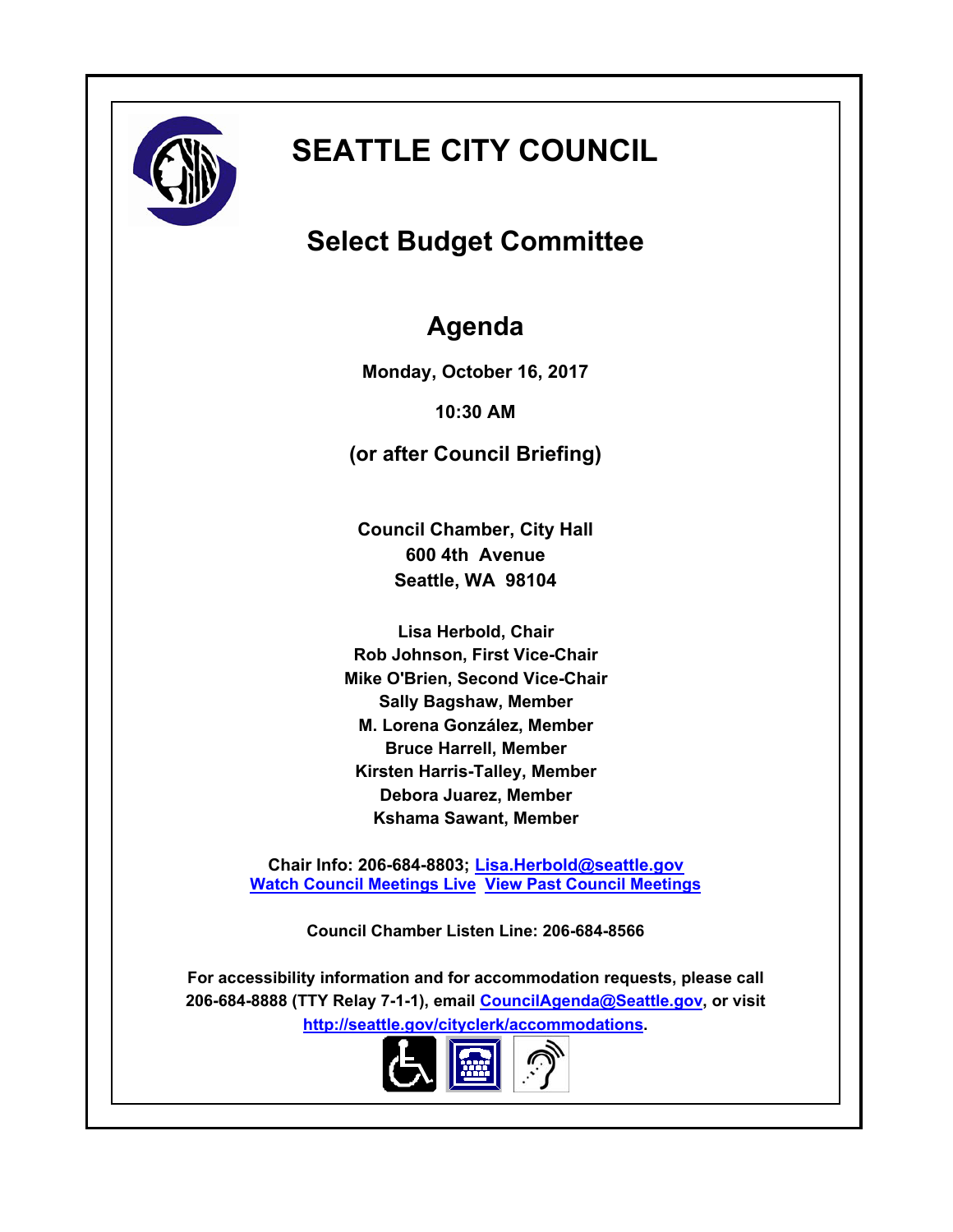

# **SEATTLE CITY COUNCIL**

# **Select Budget Committee**

# **Agenda**

**Monday, October 16, 2017**

**10:30 AM**

**(or after Council Briefing)**

**Council Chamber, City Hall 600 4th Avenue Seattle, WA 98104**

**Lisa Herbold, Chair Rob Johnson, First Vice-Chair Mike O'Brien, Second Vice-Chair Sally Bagshaw, Member M. Lorena González, Member Bruce Harrell, Member Kirsten Harris-Talley, Member Debora Juarez, Member Kshama Sawant, Member**

**Chair Info: 206-684-8803; [Lisa.Herbold@seattle.gov](mailto:Lisa.Herbold@seattle.gov) [Watch Council Meetings Live](http://www.seattle.gov/council/councillive.htm) [View Past Council Meetings](http://www.seattlechannel.org/videos/browseVideos.asp?topic=council)**

**Council Chamber Listen Line: 206-684-8566**

**For accessibility information and for accommodation requests, please call 206-684-8888 (TTY Relay 7-1-1), email [CouncilAgenda@Seattle.gov](mailto: Council.Agenda@seattle.gov), or visit <http://seattle.gov/cityclerk/accommodations>.**

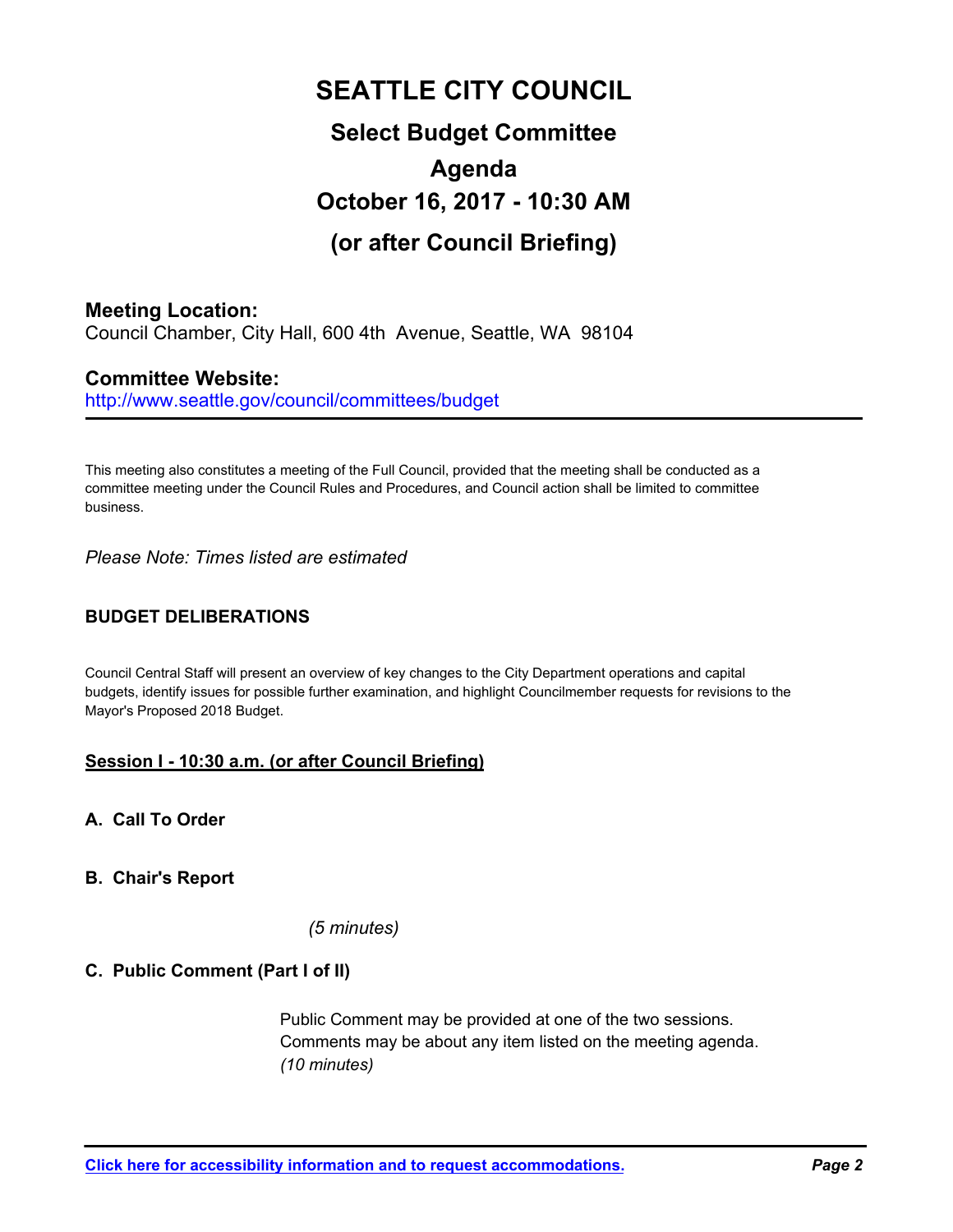# **SEATTLE CITY COUNCIL Select Budget Committee Agenda October 16, 2017 - 10:30 AM (or after Council Briefing)**

# **Meeting Location:**

Council Chamber, City Hall, 600 4th Avenue, Seattle, WA 98104

# **Committee Website:**

http://www.seattle.gov/council/committees/budget

This meeting also constitutes a meeting of the Full Council, provided that the meeting shall be conducted as a committee meeting under the Council Rules and Procedures, and Council action shall be limited to committee business.

*Please Note: Times listed are estimated*

# **BUDGET DELIBERATIONS**

Council Central Staff will present an overview of key changes to the City Department operations and capital budgets, identify issues for possible further examination, and highlight Councilmember requests for revisions to the Mayor's Proposed 2018 Budget.

# **Session I - 10:30 a.m. (or after Council Briefing)**

**A. Call To Order**

### **B. Chair's Report**

*(5 minutes)*

### **C. Public Comment (Part I of II)**

Public Comment may be provided at one of the two sessions. Comments may be about any item listed on the meeting agenda. *(10 minutes)*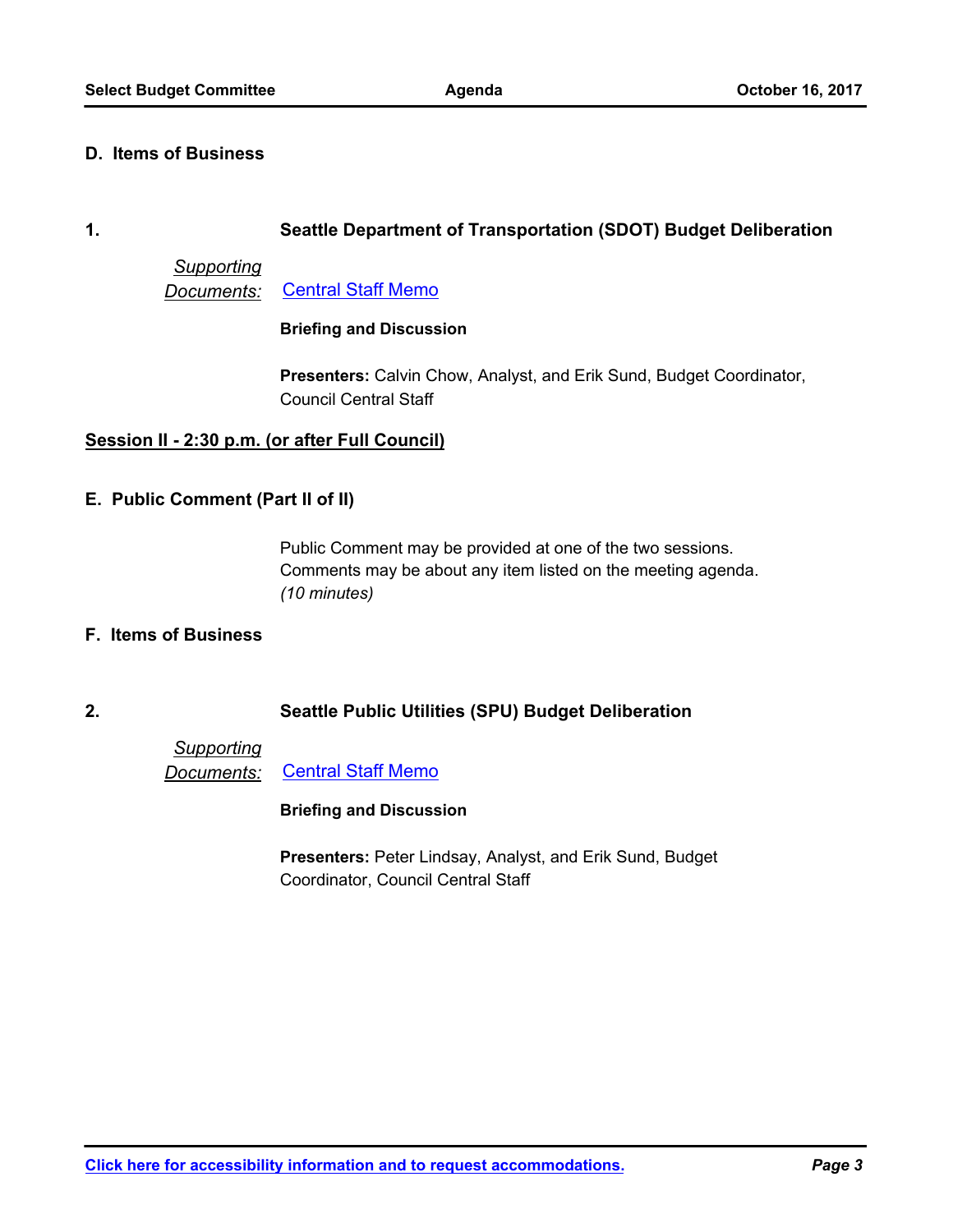#### **D. Items of Business**

#### **1. Seattle Department of Transportation (SDOT) Budget Deliberation**

# *Supporting*

*Documents:* [Central Staff Memo](http://seattle.legistar.com/gateway.aspx?M=F&ID=a8d36901-4777-49e2-b799-3d5ea7130f52.pdf)

### **Briefing and Discussion**

**Presenters:** Calvin Chow, Analyst, and Erik Sund, Budget Coordinator, Council Central Staff

### **Session II - 2:30 p.m. (or after Full Council)**

### **E. Public Comment (Part II of II)**

Public Comment may be provided at one of the two sessions. Comments may be about any item listed on the meeting agenda. *(10 minutes)*

### **F. Items of Business**

# **2. Seattle Public Utilities (SPU) Budget Deliberation**

*Supporting Documents:* [Central Staff Memo](http://seattle.legistar.com/gateway.aspx?M=F&ID=8ff46cc1-14f7-4487-9808-863f83bebaef.pdf)

#### **Briefing and Discussion**

**Presenters:** Peter Lindsay, Analyst, and Erik Sund, Budget Coordinator, Council Central Staff